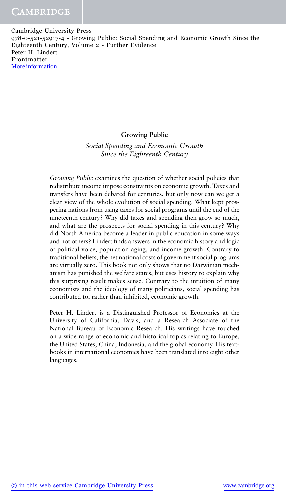#### **Growing Public**

*Social Spending and Economic Growth Since the Eighteenth Century*

*Growing Public* examines the question of whether social policies that redistribute income impose constraints on economic growth. Taxes and transfers have been debated for centuries, but only now can we get a clear view of the whole evolution of social spending. What kept prospering nations from using taxes for social programs until the end of the nineteenth century? Why did taxes and spending then grow so much, and what are the prospects for social spending in this century? Why did North America become a leader in public education in some ways and not others? Lindert finds answers in the economic history and logic of political voice, population aging, and income growth. Contrary to traditional beliefs, the net national costs of government social programs are virtually zero. This book not only shows that no Darwinian mechanism has punished the welfare states, but uses history to explain why this surprising result makes sense. Contrary to the intuition of many economists and the ideology of many politicians, social spending has contributed to, rather than inhibited, economic growth.

Peter H. Lindert is a Distinguished Professor of Economics at the University of California, Davis, and a Research Associate of the National Bureau of Economic Research. His writings have touched on a wide range of economic and historical topics relating to Europe, the United States, China, Indonesia, and the global economy. His textbooks in international economics have been translated into eight other languages.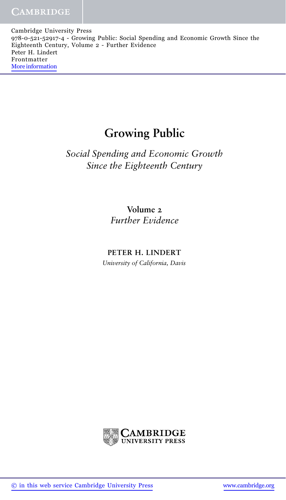# **Growing Public**

*Social Spending and Economic Growth Since the Eighteenth Century*

> **Volume 2** *Further Evidence*

**PETER H. LINDERT**

*University of California, Davis*

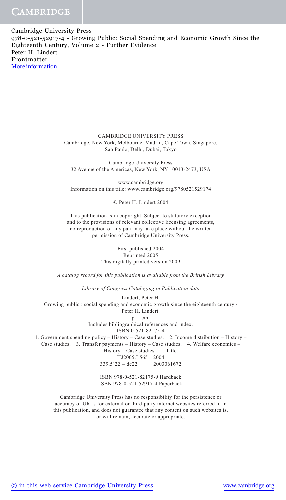> CAMBRIDGE UNIVERSITY PRESS Cambridge, New York, Melbourne, Madrid, Cape Town, Singapore, São Paulo, Delhi, Dubai, Tokyo

Cambridge University Press 32 Avenue of the Americas, New York, NY 10013-2473, USA

www.cambridge.org Information on this title: www.cambridge.org/9780521529174

© Peter H. Lindert 2004

This publication is in copyright. Subject to statutory exception and to the provisions of relevant collective licensing agreements, no reproduction of any part may take place without the written permission of Cambridge University Press.

> First published 2004 Reprinted 2005 This digitally printed version 2009

*A catalog record for this publication is available from the British Library*

*Library of Congress Cataloging in Publication data*

Lindert, Peter H. Growing public : social spending and economic growth since the eighteenth century / Peter H. Lindert. p. cm. Includes bibliographical references and index. ISBN 0-521-82175-4 1. Government spending policy – History – Case studies. 2. Income distribution – History – Case studies. 3. Transfer payments – History – Case studies. 4. Welfare economics – History – Case studies. I. Title. HJ2005.L565 2004  $339.5'22 - dc22$  2003061672

> ISBN 978-0-521-82175-9 Hardback ISBN 978-0-521-52917-4 Paperback

Cambridge University Press has no responsibility for the persistence or accuracy of URLs for external or third-party internet websites referred to in this publication, and does not guarantee that any content on such websites is, or will remain, accurate or appropriate.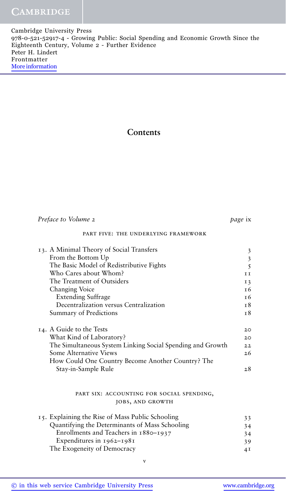### **Contents**

| Preface to Volume 2                                        | <i>page</i> ix |
|------------------------------------------------------------|----------------|
| PART FIVE: THE UNDERLYING FRAMEWORK                        |                |
| 13. A Minimal Theory of Social Transfers                   | 3              |
| From the Bottom Up                                         | $\mathfrak{Z}$ |
| The Basic Model of Redistributive Fights                   | 5              |
| Who Cares about Whom?                                      | II             |
| The Treatment of Outsiders                                 | 13             |
| Changing Voice                                             | <b>16</b>      |
| <b>Extending Suffrage</b>                                  | т 6            |
| Decentralization versus Centralization                     | T <sup>8</sup> |
| <b>Summary of Predictions</b>                              | 18             |
|                                                            |                |
| 14. A Guide to the Tests                                   | 20             |
| What Kind of Laboratory?                                   | 20             |
| The Simultaneous System Linking Social Spending and Growth | 22             |
| Some Alternative Views                                     | 26             |
| How Could One Country Become Another Country? The          |                |
| Stay-in-Sample Rule                                        | 28             |
|                                                            |                |
|                                                            |                |
| PART SIX: ACCOUNTING FOR SOCIAL SPENDING,                  |                |
| JOBS, AND GROWTH                                           |                |
|                                                            |                |
| 15. Explaining the Rise of Mass Public Schooling           | 33             |
| Quantifying the Determinants of Mass Schooling             | 34             |
| Enrollments and Teachers in 1880–1937                      | 34             |
| Expenditures in 1962-1981                                  | 39             |
| The Exogeneity of Democracy                                | 4 <sub>1</sub> |
| V                                                          |                |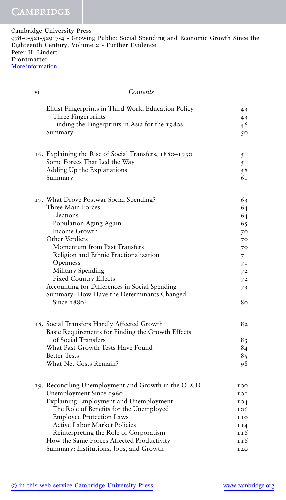| 978-0-521-52917-4 - Growing Public: Social Spending and Economic Growth Since the |
|-----------------------------------------------------------------------------------|
|                                                                                   |
|                                                                                   |
|                                                                                   |
|                                                                                   |
|                                                                                   |

| vi | Contents                                                                                                                                                                                                                                                                                                                                                                                          |                                                                            |
|----|---------------------------------------------------------------------------------------------------------------------------------------------------------------------------------------------------------------------------------------------------------------------------------------------------------------------------------------------------------------------------------------------------|----------------------------------------------------------------------------|
|    | Elitist Fingerprints in Third World Education Policy<br>Three Fingerprints<br>Finding the Fingerprints in Asia for the 1980s<br>Summary                                                                                                                                                                                                                                                           | 43<br>43<br>46<br>50                                                       |
|    | 16. Explaining the Rise of Social Transfers, 1880-1930<br>Some Forces That Led the Way<br>Adding Up the Explanations<br>Summary                                                                                                                                                                                                                                                                   | 5I<br>5I<br>58<br>61                                                       |
|    | 17. What Drove Postwar Social Spending?<br>Three Main Forces<br>Elections<br>Population Aging Again<br>Income Growth<br>Other Verdicts<br>Momentum from Past Transfers<br>Religion and Ethnic Fractionalization<br>Openness<br>Military Spending<br><b>Fixed Country Effects</b><br>Accounting for Differences in Social Spending<br>Summary: How Have the Determinants Changed<br>Since $1880$ ? | 63<br>64<br>64<br>65<br>70<br>70<br>70<br>71<br>71<br>72<br>72<br>73<br>80 |
|    | 18. Social Transfers Hardly Affected Growth<br>Basic Requirements for Finding the Growth Effects<br>of Social Transfers<br>What Past Growth Tests Have Found<br><b>Better Tests</b><br>What Net Costs Remain?                                                                                                                                                                                     | 82<br>83<br>84<br>85<br>98                                                 |
|    | 19. Reconciling Unemployment and Growth in the OECD<br>Unemployment Since 1960<br>Explaining Employment and Unemployment<br>The Role of Benefits for the Unemployed<br><b>Employee Protection Laws</b><br><b>Active Labor Market Policies</b><br>Reinterpreting the Role of Corporatism<br>How the Same Forces Affected Productivity<br>Summary: Institutions, Jobs, and Growth                   | 100<br>101<br>104<br>106<br>110<br>II4<br>116<br>116<br><b>I20</b>         |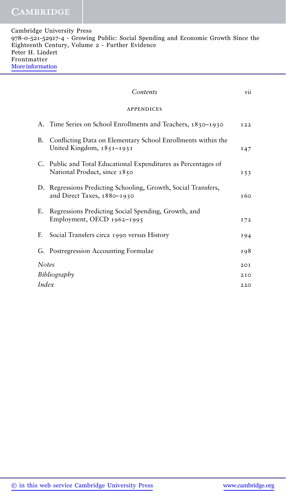|              | Contents                                                                                       | vii  |
|--------------|------------------------------------------------------------------------------------------------|------|
|              | APPENDICES                                                                                     |      |
|              | A. Time Series on School Enrollments and Teachers, 1830–1930                                   | I22  |
| В.           | Conflicting Data on Elementary School Enrollments within the<br>United Kingdom, 1851-1931      | 147  |
|              | C. Public and Total Educational Expenditures as Percentages of<br>National Product, since 1850 | I 53 |
|              | D. Regressions Predicting Schooling, Growth, Social Transfers,<br>and Direct Taxes, 1880-1930  | т 60 |
| E.           | Regressions Predicting Social Spending, Growth, and<br>Employment, OECD 1962-1995              | 172  |
| F.           | Social Transfers circa 1990 versus History                                                     | 194  |
|              | G. Postregression Accounting Formulae                                                          | 198  |
| <b>Notes</b> |                                                                                                | 20I  |
|              | Bibliography                                                                                   | 2IO  |
| Index        |                                                                                                | 220  |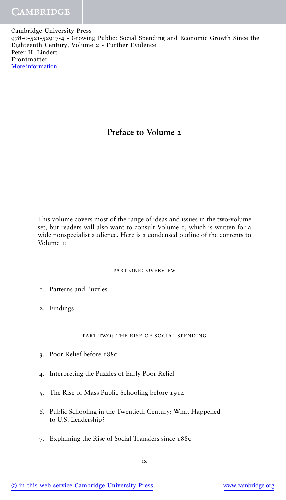## **Preface to Volume 2**

This volume covers most of the range of ideas and issues in the two-volume set, but readers will also want to consult Volume 1, which is written for a wide nonspecialist audience. Here is a condensed outline of the contents to Volume<sub>1</sub>:

#### part one: overview

- 1. Patterns and Puzzles
- 2. Findings

#### part two: the rise of social spending

- 3. Poor Relief before 1880
- 4. Interpreting the Puzzles of Early Poor Relief
- 5. The Rise of Mass Public Schooling before 1914
- 6. Public Schooling in the Twentieth Century: What Happened to U.S. Leadership?
- 7. Explaining the Rise of Social Transfers since 1880